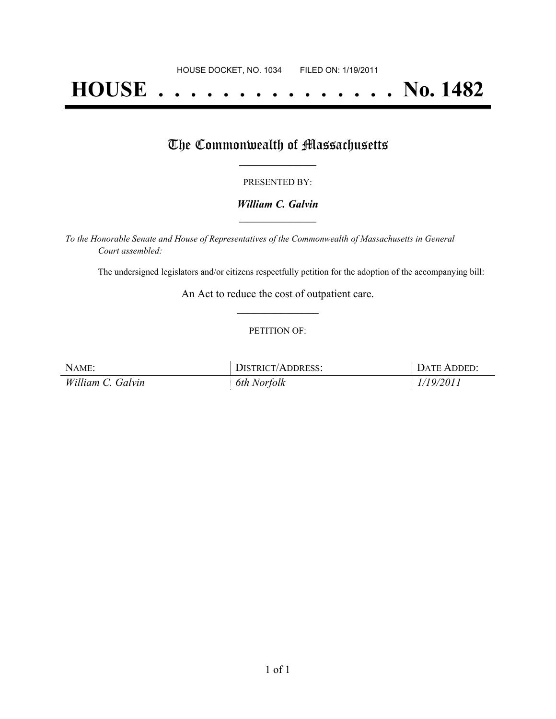# **HOUSE . . . . . . . . . . . . . . . No. 1482**

## The Commonwealth of Massachusetts

#### PRESENTED BY:

#### *William C. Galvin* **\_\_\_\_\_\_\_\_\_\_\_\_\_\_\_\_\_**

*To the Honorable Senate and House of Representatives of the Commonwealth of Massachusetts in General Court assembled:*

The undersigned legislators and/or citizens respectfully petition for the adoption of the accompanying bill:

An Act to reduce the cost of outpatient care. **\_\_\_\_\_\_\_\_\_\_\_\_\_\_\_**

#### PETITION OF:

| NAME:             | DISTRICT/ADDRESS: | DATE ADDED: |
|-------------------|-------------------|-------------|
| William C. Galvin | 6th Norfolk       | 1/19/2011   |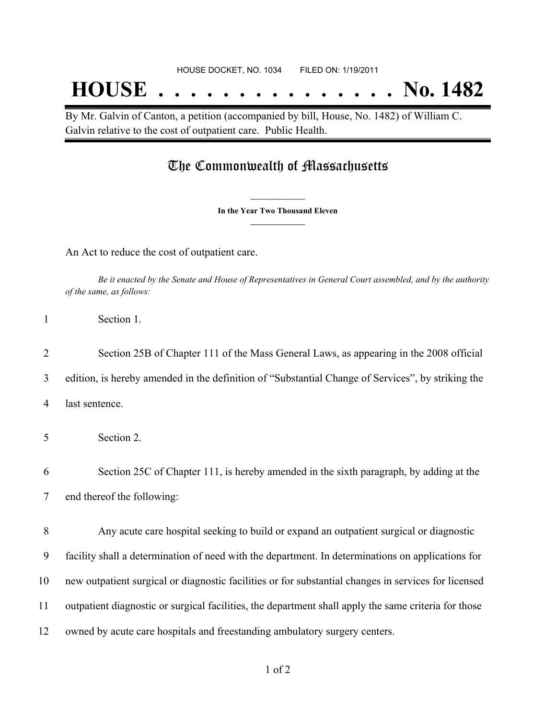## **HOUSE . . . . . . . . . . . . . . . No. 1482**

By Mr. Galvin of Canton, a petition (accompanied by bill, House, No. 1482) of William C. Galvin relative to the cost of outpatient care. Public Health.

### The Commonwealth of Massachusetts

**\_\_\_\_\_\_\_\_\_\_\_\_\_\_\_ In the Year Two Thousand Eleven \_\_\_\_\_\_\_\_\_\_\_\_\_\_\_**

An Act to reduce the cost of outpatient care.

Be it enacted by the Senate and House of Representatives in General Court assembled, and by the authority *of the same, as follows:*

2 Section 25B of Chapter 111 of the Mass General Laws, as appearing in the 2008 official 3 edition, is hereby amended in the definition of "Substantial Change of Services", by striking the 4 last sentence.

5 Section 2.

6 Section 25C of Chapter 111, is hereby amended in the sixth paragraph, by adding at the 7 end thereof the following:

 Any acute care hospital seeking to build or expand an outpatient surgical or diagnostic facility shall a determination of need with the department. In determinations on applications for new outpatient surgical or diagnostic facilities or for substantial changes in services for licensed outpatient diagnostic or surgical facilities, the department shall apply the same criteria for those owned by acute care hospitals and freestanding ambulatory surgery centers.